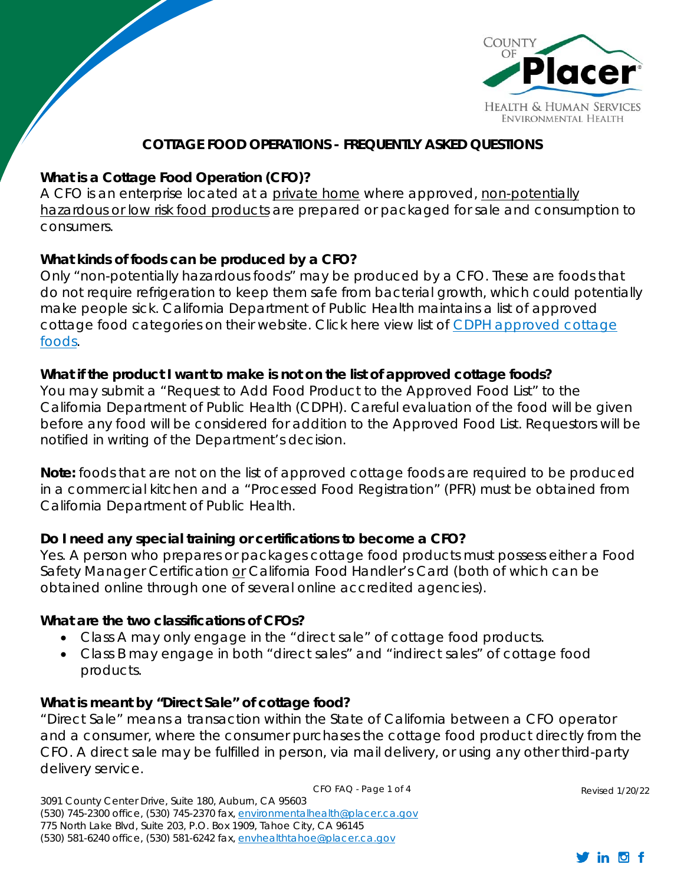

#### **COTTAGE FOOD OPERATIONS - FREQUENTLY ASKED QUESTIONS**

#### **What is a Cottage Food Operation (CFO)?**

 $\bigvee$ 

*A CFO is an enterprise located at a private home where approved, non-potentially hazardous or low risk food products are prepared or packaged for sale and consumption to consumers.* 

#### **What kinds of foods can be produced by a CFO?**

Only "non-potentially hazardous foods" may be produced by a CFO. These are foods that do not require refrigeration to keep them safe from bacterial growth, which could potentially make people sick. California Department of Public Health maintains a list of approved cottage food categories on their website. Click here view list of CDPH approved cottage foods.

#### **What if the product I want to make is not on the list of approved cottage foods?**

You may submit a "Request to Add Food Product to the Approved Food List" to the California Department of Public Health (CDPH). Careful evaluation of the food will be given before any food will be considered for addition to the Approved Food List. Requestors will be notified in writing of the Department's decision.

**Note:** foods that are not on the list of approved cottage foods are required to be produced in a commercial kitchen and a "Processed Food Registration" (PFR) must be obtained from California Department of Public Health.

#### **Do I need any special training or certifications to become a CFO?**

Yes. A person who prepares or packages cottage food products must possess either a Food Safety Manager Certification or California Food Handler's Card (both of which can be obtained online through one of several online accredited agencies).

#### **What are the two classifications of CFOs?**

- Class A may only engage in the "direct sale" of cottage food products.
- Class B may engage in both "direct sales" and "indirect sales" of cottage food products.

#### **What is meant by "Direct Sale" of cottage food?**

"Direct Sale" means a transaction within the State of California between a CFO operator and a consumer, where the consumer purchases the cottage food product directly from the CFO. A direct sale may be fulfilled in person, via mail delivery, or using any other third-party delivery service.

CFO FAQ - Page 1 of 4

3091 County Center Drive, Suite 180, Auburn, CA 95603 (530) 745-2300 office, (530) 745-2370 fax, environmentalhealth@placer.ca.gov 775 North Lake Blvd, Suite 203, P.O. Box 1909, Tahoe City, CA 96145 (530) 581-6240 office, (530) 581-6242 fax, envhealthtahoe@placer.ca.gov

Revised 1/20/22

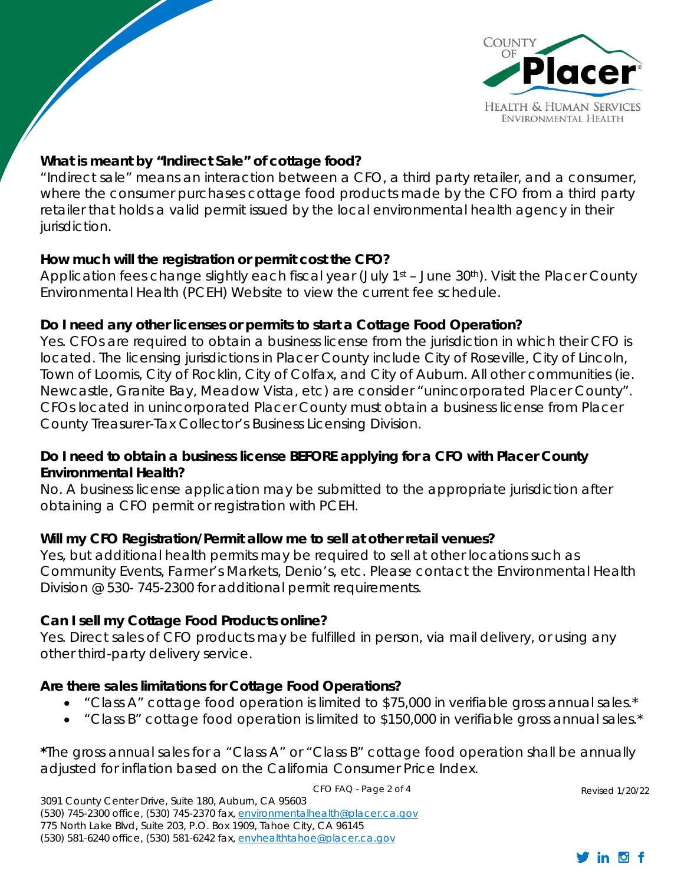

## **What is meant by "Indirect Sale" of cottage food?**

 $\sqrt{\frac{2}{\sqrt{2}}}$ 

"Indirect sale" means an interaction between a CFO, a third party retailer, and a consumer, where the consumer purchases cottage food products made by the CFO from a third party retailer that holds a valid permit issued by the local environmental health agency in their jurisdiction.

### **How much will the registration or permit cost the CFO?**

Application fees change slightly each fiscal year (July  $1<sup>st</sup>$  – June 30<sup>th</sup>). Visit the Placer County Environmental Health (PCEH) Website to view the current fee schedule.

# **Do I need any other licenses or permits to start a Cottage Food Operation?**

Yes. CFOs are required to obtain a business license from the jurisdiction in which their CFO is located. The licensing jurisdictions in Placer County include City of Roseville, City of Lincoln, Town of Loomis, City of Rocklin, City of Colfax, and City of Auburn. All other communities (ie. Newcastle, Granite Bay, Meadow Vista, etc) are consider "unincorporated Placer County". CFOs located in unincorporated Placer County must obtain a business license from Placer County Treasurer-Tax Collector's Business Licensing Division.

### **Do I need to obtain a business license BEFORE applying for a CFO with Placer County Environmental Health?**

No. A business license application may be submitted to the appropriate jurisdiction after obtaining a CFO permit or registration with PCEH.

### **Will my CFO Registration/Permit allow me to sell at other retail venues?**

Yes, but additional health permits may be required to sell at other locations such as Community Events, Farmer's Markets, Denio's, etc. Please contact the Environmental Health Division @ 530- 745-2300 for additional permit requirements.

### **Can I sell my Cottage Food Products online?**

Yes. Direct sales of CFO products may be fulfilled in person, via mail delivery, or using any other third-party delivery service.

### **Are there sales limitations for Cottage Food Operations?**

- "Class A" cottage food operation is limited to \$75,000 in verifiable gross annual sales.\*
- "Class B" cottage food operation is limited to \$150,000 in verifiable gross annual sales.\*

CFO FAQ - Page 2 of 4

**\***The gross annual sales for a "Class A" or "Class B" cottage food operation shall be annually adjusted for inflation based on the California Consumer Price Index.

3091 County Center Drive, Suite 180, Auburn, CA 95603 (530) 745-2300 office, (530) 745-2370 fax, environmentalhealth@placer.ca.gov 775 North Lake Blvd, Suite 203, P.O. Box 1909, Tahoe City, CA 96145 (530) 581-6240 office, (530) 581-6242 fax, envhealthtahoe@placer.ca.gov

Revised 1/20/22

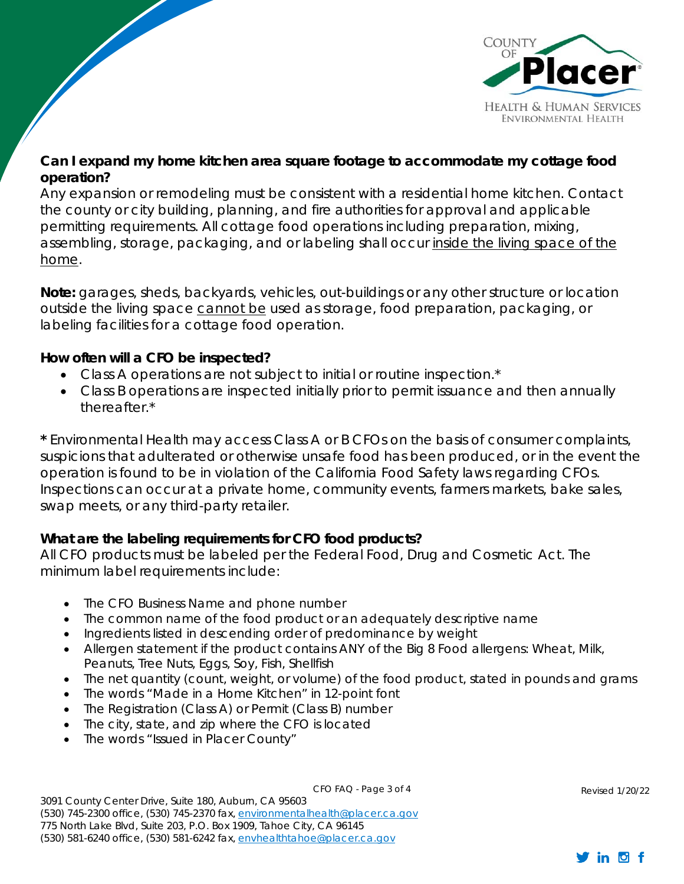

## **Can I expand my home kitchen area square footage to accommodate my cottage food operation?**

Any expansion or remodeling must be consistent with a residential home kitchen. Contact the county or city building, planning, and fire authorities for approval and applicable permitting requirements. All cottage food operations including preparation, mixing, assembling, storage, packaging, and or labeling shall occur inside the living space of the home.

**Note:** garages, sheds, backyards, vehicles, out-buildings or any other structure or location outside the living space cannot be used as storage, food preparation, packaging, or labeling facilities for a cottage food operation.

#### **How often will a CFO be inspected?**

 $\sqrt{2}$ 

- Class A operations are not subject to initial or routine inspection.<sup>\*</sup>
- Class B operations are inspected initially prior to permit issuance and then annually thereafter.\*

**\*** Environmental Health may access Class A or B CFOs on the basis of consumer complaints, suspicions that adulterated or otherwise unsafe food has been produced, or in the event the operation is found to be in violation of the California Food Safety laws regarding CFOs. Inspections can occur at a private home, community events, farmers markets, bake sales, swap meets, or any third-party retailer.

### **What are the labeling requirements for CFO food products?**

All CFO products must be labeled per the Federal Food, Drug and Cosmetic Act. The minimum label requirements include:

- The CFO Business Name and phone number
- The common name of the food product or an adequately descriptive name
- Ingredients listed in descending order of predominance by weight
- Allergen statement if the product contains ANY of the Big 8 Food allergens: Wheat, Milk, Peanuts, Tree Nuts, Eggs, Soy, Fish, Shellfish
- The net quantity (count, weight, or volume) of the food product, stated in pounds and grams
- The words "Made in a Home Kitchen" in 12-point font
- The Registration (Class A) or Permit (Class B) number
- The city, state, and zip where the CFO is located
- The words "Issued in Placer County"

CFO FAQ - Page 3 of 4

3091 County Center Drive, Suite 180, Auburn, CA 95603 (530) 745-2300 office, (530) 745-2370 fax, environmentalhealth@placer.ca.gov 775 North Lake Blvd, Suite 203, P.O. Box 1909, Tahoe City, CA 96145 (530) 581-6240 office, (530) 581-6242 fax, envhealthtahoe@placer.ca.gov

Revised 1/20/22